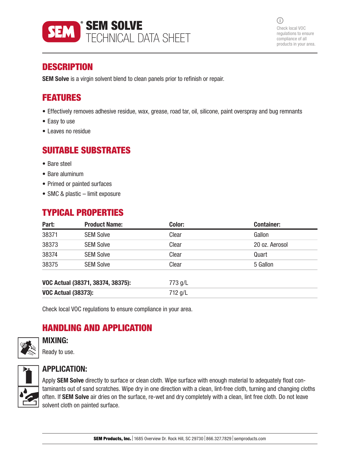

 $(i)$ Check local VOC regulations to ensure compliance of all products in your area.

## **DESCRIPTION**

**SEM Solve** is a virgin solvent blend to clean panels prior to refinish or repair.

## FEATURES

- Effectively removes adhesive residue, wax, grease, road tar, oil, silicone, paint overspray and bug remnants
- Easy to use
- Leaves no residue

## SUITABLE SUBSTRATES

- Bare steel
- Bare aluminum
- Primed or painted surfaces
- SMC & plastic limit exposure

## TYPICAL PROPERTIES

| Part:                             | <b>Product Name:</b> | Color:  | <b>Container:</b> |
|-----------------------------------|----------------------|---------|-------------------|
| 38371                             | <b>SEM Solve</b>     | Clear   | Gallon            |
| 38373                             | <b>SEM Solve</b>     | Clear   | 20 oz. Aerosol    |
| 38374                             | <b>SEM Solve</b>     | Clear   | Quart             |
| 38375                             | <b>SEM Solve</b>     | Clear   | 5 Gallon          |
| VOC Actual (38371, 38374, 38375): |                      | 773 g/L |                   |
| <b>VOC Actual (38373):</b>        |                      | 712 g/L |                   |

Check local VOC regulations to ensure compliance in your area.

## HANDLING AND APPLICATION

### MIXING:

Ready to use.



## APPLICATION:

Apply SEM Solve directly to surface or clean cloth. Wipe surface with enough material to adequately float contaminants out of sand scratches. Wipe dry in one direction with a clean, lint-free cloth, turning and changing cloths often. If SEM Solve air dries on the surface, re-wet and dry completely with a clean, lint free cloth. Do not leave solvent cloth on painted surface.